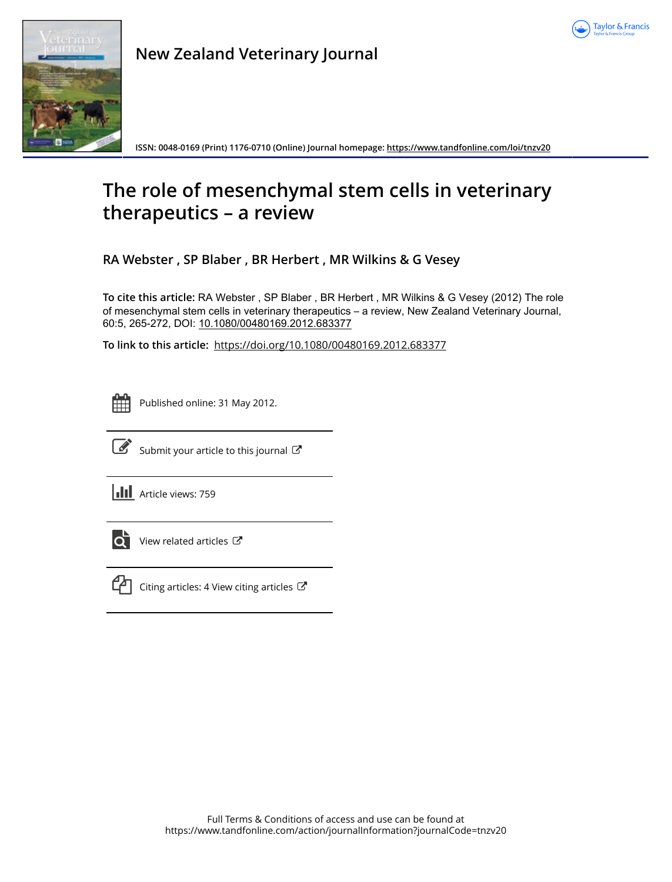



**New Zealand Veterinary Journal**

**ISSN: 0048-0169 (Print) 1176-0710 (Online) Journal homepage:<https://www.tandfonline.com/loi/tnzv20>**

# **The role of mesenchymal stem cells in veterinary therapeutics – a review**

**RA Webster , SP Blaber , BR Herbert , MR Wilkins & G Vesey**

**To cite this article:** RA Webster , SP Blaber , BR Herbert , MR Wilkins & G Vesey (2012) The role of mesenchymal stem cells in veterinary therapeutics – a review, New Zealand Veterinary Journal, 60:5, 265-272, DOI: [10.1080/00480169.2012.683377](https://www.tandfonline.com/action/showCitFormats?doi=10.1080/00480169.2012.683377)

**To link to this article:** <https://doi.org/10.1080/00480169.2012.683377>



Published online: 31 May 2012.



 $\overrightarrow{S}$  [Submit your article to this journal](https://www.tandfonline.com/action/authorSubmission?journalCode=tnzv20&show=instructions)  $\overrightarrow{S}$ 

**III** Article views: 759



 $\overrightarrow{O}$  [View related articles](https://www.tandfonline.com/doi/mlt/10.1080/00480169.2012.683377)  $\overrightarrow{C}$ 



 $\mathbb{C}$  [Citing articles: 4 View citing articles](https://www.tandfonline.com/doi/citedby/10.1080/00480169.2012.683377#tabModule)  $\mathbb{C}$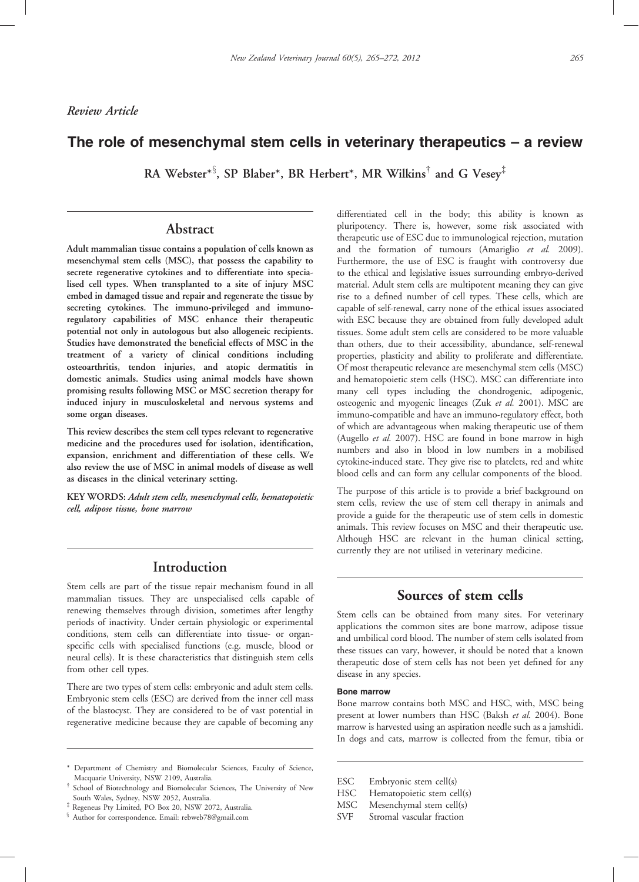# The role of mesenchymal stem cells in veterinary therapeutics – a review

RA Webster $^{*{\S}},$  SP Blaber $^*$ , BR Herbert $^*$ , MR Wilkins $^{\dagger}$  and G Vesey $^{\ddagger}$ 

### Abstract

Adult mammalian tissue contains a population of cells known as mesenchymal stem cells (MSC), that possess the capability to secrete regenerative cytokines and to differentiate into specialised cell types. When transplanted to a site of injury MSC embed in damaged tissue and repair and regenerate the tissue by secreting cytokines. The immuno-privileged and immunoregulatory capabilities of MSC enhance their therapeutic potential not only in autologous but also allogeneic recipients. Studies have demonstrated the beneficial effects of MSC in the treatment of a variety of clinical conditions including osteoarthritis, tendon injuries, and atopic dermatitis in domestic animals. Studies using animal models have shown promising results following MSC or MSC secretion therapy for induced injury in musculoskeletal and nervous systems and some organ diseases.

This review describes the stem cell types relevant to regenerative medicine and the procedures used for isolation, identification, expansion, enrichment and differentiation of these cells. We also review the use of MSC in animal models of disease as well as diseases in the clinical veterinary setting.

KEY WORDS: Adult stem cells, mesenchymal cells, hematopoietic cell, adipose tissue, bone marrow

### Introduction

Stem cells are part of the tissue repair mechanism found in all mammalian tissues. They are unspecialised cells capable of renewing themselves through division, sometimes after lengthy periods of inactivity. Under certain physiologic or experimental conditions, stem cells can differentiate into tissue- or organspecific cells with specialised functions (e.g. muscle, blood or neural cells). It is these characteristics that distinguish stem cells from other cell types.

There are two types of stem cells: embryonic and adult stem cells. Embryonic stem cells (ESC) are derived from the inner cell mass of the blastocyst. They are considered to be of vast potential in regenerative medicine because they are capable of becoming any differentiated cell in the body; this ability is known as pluripotency. There is, however, some risk associated with therapeutic use of ESC due to immunological rejection, mutation and the formation of tumours (Amariglio et al. 2009). Furthermore, the use of ESC is fraught with controversy due to the ethical and legislative issues surrounding embryo-derived material. Adult stem cells are multipotent meaning they can give rise to a defined number of cell types. These cells, which are capable of self-renewal, carry none of the ethical issues associated with ESC because they are obtained from fully developed adult tissues. Some adult stem cells are considered to be more valuable than others, due to their accessibility, abundance, self-renewal properties, plasticity and ability to proliferate and differentiate. Of most therapeutic relevance are mesenchymal stem cells (MSC) and hematopoietic stem cells (HSC). MSC can differentiate into many cell types including the chondrogenic, adipogenic, osteogenic and myogenic lineages (Zuk et al. 2001). MSC are immuno-compatible and have an immuno-regulatory effect, both of which are advantageous when making therapeutic use of them (Augello et al. 2007). HSC are found in bone marrow in high numbers and also in blood in low numbers in a mobilised cytokine-induced state. They give rise to platelets, red and white blood cells and can form any cellular components of the blood.

The purpose of this article is to provide a brief background on stem cells, review the use of stem cell therapy in animals and provide a guide for the therapeutic use of stem cells in domestic animals. This review focuses on MSC and their therapeutic use. Although HSC are relevant in the human clinical setting, currently they are not utilised in veterinary medicine.

# Sources of stem cells

Stem cells can be obtained from many sites. For veterinary applications the common sites are bone marrow, adipose tissue and umbilical cord blood. The number of stem cells isolated from these tissues can vary, however, it should be noted that a known therapeutic dose of stem cells has not been yet defined for any disease in any species.

#### Bone marrow

Bone marrow contains both MSC and HSC, with, MSC being present at lower numbers than HSC (Baksh et al. 2004). Bone marrow is harvested using an aspiration needle such as a jamshidi. In dogs and cats, marrow is collected from the femur, tibia or

- ESC Embryonic stem cell(s)
- HSC Hematopoietic stem cell(s)
- MSC Mesenchymal stem cell(s)
- SVF Stromal vascular fraction

<sup>\*</sup> Department of Chemistry and Biomolecular Sciences, Faculty of Science, Macquarie University, NSW 2109, Australia.

<sup>&</sup>lt;sup>†</sup> School of Biotechnology and Biomolecular Sciences, The University of New South Wales, Sydney, NSW 2052, Australia.

<sup>{</sup> Regeneus Pty Limited, PO Box 20, NSW 2072, Australia.

<sup>&</sup>lt;sup>§</sup> Author for correspondence. Email: rebweb78@gmail.com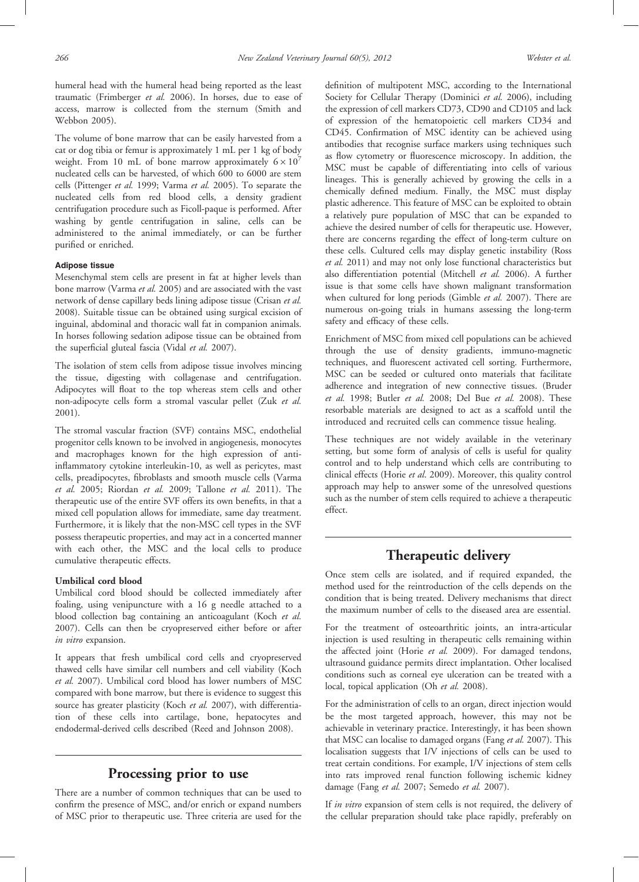humeral head with the humeral head being reported as the least traumatic (Frimberger et al. 2006). In horses, due to ease of access, marrow is collected from the sternum (Smith and Webbon 2005).

The volume of bone marrow that can be easily harvested from a cat or dog tibia or femur is approximately 1 mL per 1 kg of body weight. From 10 mL of bone marrow approximately  $6 \times 10^7$ nucleated cells can be harvested, of which 600 to 6000 are stem cells (Pittenger et al. 1999; Varma et al. 2005). To separate the nucleated cells from red blood cells, a density gradient centrifugation procedure such as Ficoll-paque is performed. After washing by gentle centrifugation in saline, cells can be administered to the animal immediately, or can be further purified or enriched.

#### Adipose tissue

Mesenchymal stem cells are present in fat at higher levels than bone marrow (Varma et al. 2005) and are associated with the vast network of dense capillary beds lining adipose tissue (Crisan et al. 2008). Suitable tissue can be obtained using surgical excision of inguinal, abdominal and thoracic wall fat in companion animals. In horses following sedation adipose tissue can be obtained from the superficial gluteal fascia (Vidal et al. 2007).

The isolation of stem cells from adipose tissue involves mincing the tissue, digesting with collagenase and centrifugation. Adipocytes will float to the top whereas stem cells and other non-adipocyte cells form a stromal vascular pellet (Zuk et al. 2001).

The stromal vascular fraction (SVF) contains MSC, endothelial progenitor cells known to be involved in angiogenesis, monocytes and macrophages known for the high expression of antiinflammatory cytokine interleukin-10, as well as pericytes, mast cells, preadipocytes, fibroblasts and smooth muscle cells (Varma et al. 2005; Riordan et al. 2009; Tallone et al. 2011). The therapeutic use of the entire SVF offers its own benefits, in that a mixed cell population allows for immediate, same day treatment. Furthermore, it is likely that the non-MSC cell types in the SVF possess therapeutic properties, and may act in a concerted manner with each other, the MSC and the local cells to produce cumulative therapeutic effects.

#### Umbilical cord blood

Umbilical cord blood should be collected immediately after foaling, using venipuncture with a 16 g needle attached to a blood collection bag containing an anticoagulant (Koch et al. 2007). Cells can then be cryopreserved either before or after in vitro expansion.

It appears that fresh umbilical cord cells and cryopreserved thawed cells have similar cell numbers and cell viability (Koch et al. 2007). Umbilical cord blood has lower numbers of MSC compared with bone marrow, but there is evidence to suggest this source has greater plasticity (Koch et al. 2007), with differentiation of these cells into cartilage, bone, hepatocytes and endodermal-derived cells described (Reed and Johnson 2008).

## Processing prior to use

There are a number of common techniques that can be used to confirm the presence of MSC, and/or enrich or expand numbers of MSC prior to therapeutic use. Three criteria are used for the definition of multipotent MSC, according to the International Society for Cellular Therapy (Dominici et al. 2006), including the expression of cell markers CD73, CD90 and CD105 and lack of expression of the hematopoietic cell markers CD34 and CD45. Confirmation of MSC identity can be achieved using antibodies that recognise surface markers using techniques such as flow cytometry or fluorescence microscopy. In addition, the MSC must be capable of differentiating into cells of various lineages. This is generally achieved by growing the cells in a chemically defined medium. Finally, the MSC must display plastic adherence. This feature of MSC can be exploited to obtain a relatively pure population of MSC that can be expanded to achieve the desired number of cells for therapeutic use. However, there are concerns regarding the effect of long-term culture on these cells. Cultured cells may display genetic instability (Ross et al. 2011) and may not only lose functional characteristics but also differentiation potential (Mitchell et al. 2006). A further issue is that some cells have shown malignant transformation when cultured for long periods (Gimble et al. 2007). There are numerous on-going trials in humans assessing the long-term safety and efficacy of these cells.

Enrichment of MSC from mixed cell populations can be achieved through the use of density gradients, immuno-magnetic techniques, and fluorescent activated cell sorting. Furthermore, MSC can be seeded or cultured onto materials that facilitate adherence and integration of new connective tissues. (Bruder et al. 1998; Butler et al. 2008; Del Bue et al. 2008). These resorbable materials are designed to act as a scaffold until the introduced and recruited cells can commence tissue healing.

These techniques are not widely available in the veterinary setting, but some form of analysis of cells is useful for quality control and to help understand which cells are contributing to clinical effects (Horie et al. 2009). Moreover, this quality control approach may help to answer some of the unresolved questions such as the number of stem cells required to achieve a therapeutic effect.

### Therapeutic delivery

Once stem cells are isolated, and if required expanded, the method used for the reintroduction of the cells depends on the condition that is being treated. Delivery mechanisms that direct the maximum number of cells to the diseased area are essential.

For the treatment of osteoarthritic joints, an intra-articular injection is used resulting in therapeutic cells remaining within the affected joint (Horie et al. 2009). For damaged tendons, ultrasound guidance permits direct implantation. Other localised conditions such as corneal eye ulceration can be treated with a local, topical application (Oh et al. 2008).

For the administration of cells to an organ, direct injection would be the most targeted approach, however, this may not be achievable in veterinary practice. Interestingly, it has been shown that MSC can localise to damaged organs (Fang et al. 2007). This localisation suggests that I/V injections of cells can be used to treat certain conditions. For example, I/V injections of stem cells into rats improved renal function following ischemic kidney damage (Fang et al. 2007; Semedo et al. 2007).

If in vitro expansion of stem cells is not required, the delivery of the cellular preparation should take place rapidly, preferably on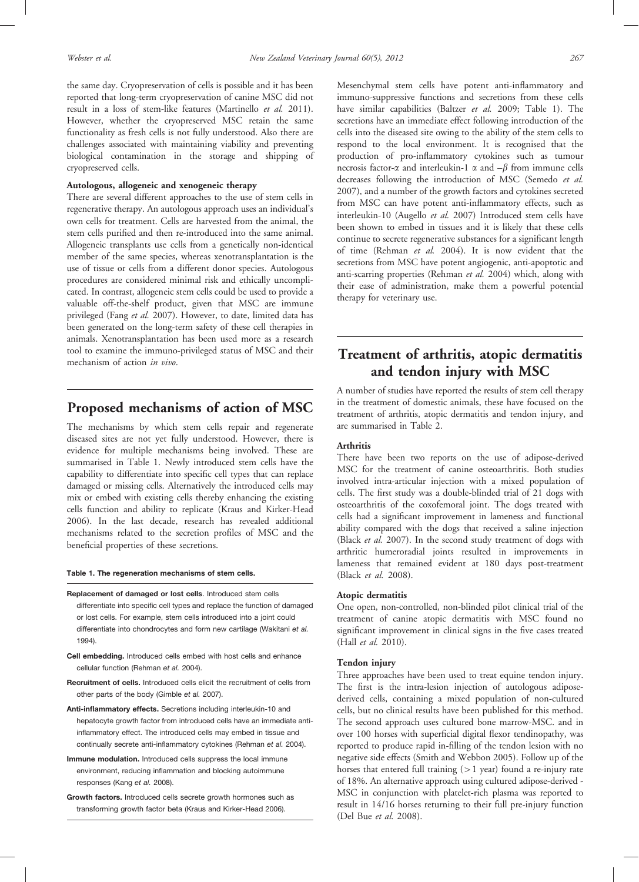the same day. Cryopreservation of cells is possible and it has been reported that long-term cryopreservation of canine MSC did not result in a loss of stem-like features (Martinello et al. 2011). However, whether the cryopreserved MSC retain the same functionality as fresh cells is not fully understood. Also there are challenges associated with maintaining viability and preventing biological contamination in the storage and shipping of cryopreserved cells.

#### Autologous, allogeneic and xenogeneic therapy

There are several different approaches to the use of stem cells in regenerative therapy. An autologous approach uses an individual's own cells for treatment. Cells are harvested from the animal, the stem cells purified and then re-introduced into the same animal. Allogeneic transplants use cells from a genetically non-identical member of the same species, whereas xenotransplantation is the use of tissue or cells from a different donor species. Autologous procedures are considered minimal risk and ethically uncomplicated. In contrast, allogeneic stem cells could be used to provide a valuable off-the-shelf product, given that MSC are immune privileged (Fang et al. 2007). However, to date, limited data has been generated on the long-term safety of these cell therapies in animals. Xenotransplantation has been used more as a research tool to examine the immuno-privileged status of MSC and their mechanism of action in vivo.

## Proposed mechanisms of action of MSC

The mechanisms by which stem cells repair and regenerate diseased sites are not yet fully understood. However, there is evidence for multiple mechanisms being involved. These are summarised in Table 1. Newly introduced stem cells have the capability to differentiate into specific cell types that can replace damaged or missing cells. Alternatively the introduced cells may mix or embed with existing cells thereby enhancing the existing cells function and ability to replicate (Kraus and Kirker-Head 2006). In the last decade, research has revealed additional mechanisms related to the secretion profiles of MSC and the beneficial properties of these secretions.

#### Table 1. The regeneration mechanisms of stem cells.

- Replacement of damaged or lost cells. Introduced stem cells differentiate into specific cell types and replace the function of damaged or lost cells. For example, stem cells introduced into a joint could differentiate into chondrocytes and form new cartilage (Wakitani et al. 1994).
- Cell embedding. Introduced cells embed with host cells and enhance cellular function (Rehman et al. 2004).
- Recruitment of cells. Introduced cells elicit the recruitment of cells from other parts of the body (Gimble et al. 2007).
- Anti-inflammatory effects. Secretions including interleukin-10 and hepatocyte growth factor from introduced cells have an immediate antiinflammatory effect. The introduced cells may embed in tissue and continually secrete anti-inflammatory cytokines (Rehman et al. 2004).
- Immune modulation. Introduced cells suppress the local immune environment, reducing inflammation and blocking autoimmune responses (Kang et al. 2008).

Growth factors. Introduced cells secrete growth hormones such as transforming growth factor beta (Kraus and Kirker-Head 2006).

Mesenchymal stem cells have potent anti-inflammatory and immuno-suppressive functions and secretions from these cells have similar capabilities (Baltzer et al. 2009; Table 1). The secretions have an immediate effect following introduction of the cells into the diseased site owing to the ability of the stem cells to respond to the local environment. It is recognised that the production of pro-inflammatory cytokines such as tumour necrosis factor- $\alpha$  and interleukin-1  $\alpha$  and  $-\beta$  from immune cells decreases following the introduction of MSC (Semedo et al. 2007), and a number of the growth factors and cytokines secreted from MSC can have potent anti-inflammatory effects, such as interleukin-10 (Augello et al. 2007) Introduced stem cells have been shown to embed in tissues and it is likely that these cells continue to secrete regenerative substances for a significant length of time (Rehman et al. 2004). It is now evident that the secretions from MSC have potent angiogenic, anti-apoptotic and anti-scarring properties (Rehman et al. 2004) which, along with their ease of administration, make them a powerful potential therapy for veterinary use.

# Treatment of arthritis, atopic dermatitis and tendon injury with MSC

A number of studies have reported the results of stem cell therapy in the treatment of domestic animals, these have focused on the treatment of arthritis, atopic dermatitis and tendon injury, and are summarised in Table 2.

#### **Arthritis**

There have been two reports on the use of adipose-derived MSC for the treatment of canine osteoarthritis. Both studies involved intra-articular injection with a mixed population of cells. The first study was a double-blinded trial of 21 dogs with osteoarthritis of the coxofemoral joint. The dogs treated with cells had a significant improvement in lameness and functional ability compared with the dogs that received a saline injection (Black et al. 2007). In the second study treatment of dogs with arthritic humeroradial joints resulted in improvements in lameness that remained evident at 180 days post-treatment (Black et al. 2008).

#### Atopic dermatitis

One open, non-controlled, non-blinded pilot clinical trial of the treatment of canine atopic dermatitis with MSC found no significant improvement in clinical signs in the five cases treated (Hall et al. 2010).

#### Tendon injury

Three approaches have been used to treat equine tendon injury. The first is the intra-lesion injection of autologous adiposederived cells, containing a mixed population of non-cultured cells, but no clinical results have been published for this method. The second approach uses cultured bone marrow-MSC. and in over 100 horses with superficial digital flexor tendinopathy, was reported to produce rapid in-filling of the tendon lesion with no negative side effects (Smith and Webbon 2005). Follow up of the horses that entered full training  $(>1$  year) found a re-injury rate of 18%. An alternative approach using cultured adipose-derived - MSC in conjunction with platelet-rich plasma was reported to result in 14/16 horses returning to their full pre-injury function (Del Bue et al. 2008).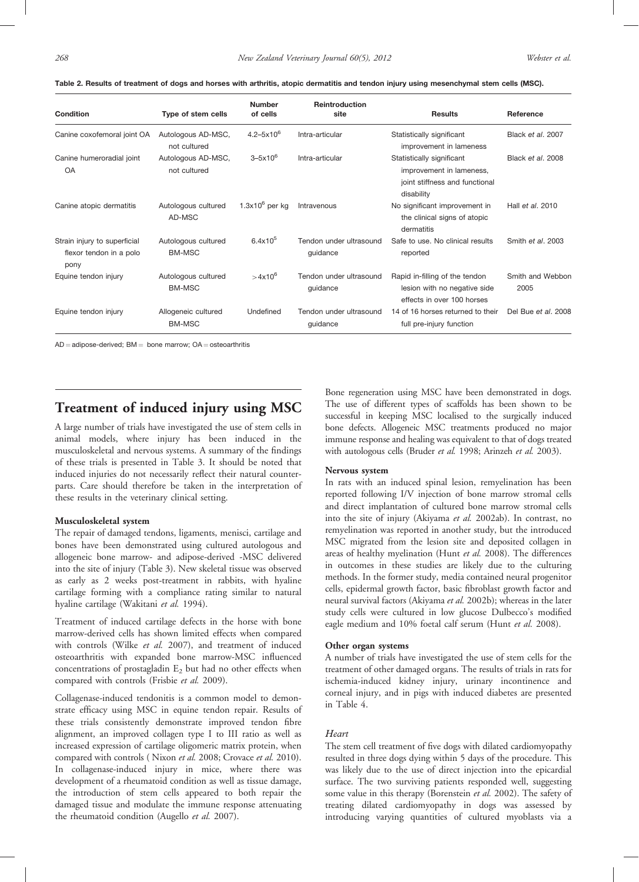Table 2. Results of treatment of dogs and horses with arthritis, atopic dermatitis and tendon injury using mesenchymal stem cells (MSC).

| <b>Condition</b>                                                | Type of stem cells                   | <b>Number</b><br>of cells | <b>Reintroduction</b><br>site       | <b>Results</b>                                                                                        | Reference                |
|-----------------------------------------------------------------|--------------------------------------|---------------------------|-------------------------------------|-------------------------------------------------------------------------------------------------------|--------------------------|
| Canine coxofemoral joint OA                                     | Autologous AD-MSC,<br>not cultured   | $4.2 - 5 \times 10^6$     | Intra-articular                     | Statistically significant<br>improvement in lameness                                                  | Black et al. 2007        |
| Canine humeroradial joint<br><b>OA</b>                          | Autologous AD-MSC,<br>not cultured   | $3 - 5 \times 10^{6}$     | Intra-articular                     | Statistically significant<br>improvement in lameness,<br>joint stiffness and functional<br>disability | Black et al. 2008        |
| Canine atopic dermatitis                                        | Autologous cultured<br>AD-MSC        | $1.3x10^6$ per kg         | Intravenous                         | No significant improvement in<br>the clinical signs of atopic<br>dermatitis                           | Hall et al. 2010         |
| Strain injury to superficial<br>flexor tendon in a polo<br>pony | Autologous cultured<br><b>BM-MSC</b> | $6.4x10^{5}$              | Tendon under ultrasound<br>guidance | Safe to use. No clinical results<br>reported                                                          | Smith et al. 2003        |
| Equine tendon injury                                            | Autologous cultured<br><b>BM-MSC</b> | $>4x10^6$                 | Tendon under ultrasound<br>guidance | Rapid in-filling of the tendon<br>lesion with no negative side<br>effects in over 100 horses          | Smith and Webbon<br>2005 |
| Equine tendon injury                                            | Allogeneic cultured<br><b>BM-MSC</b> | Undefined                 | Tendon under ultrasound<br>guidance | 14 of 16 horses returned to their<br>full pre-injury function                                         | Del Bue et al. 2008      |

 $AD =$ adipose-derived;  $BM =$  bone marrow;  $OA =$  osteoarthritis

# Treatment of induced injury using MSC

A large number of trials have investigated the use of stem cells in animal models, where injury has been induced in the musculoskeletal and nervous systems. A summary of the findings of these trials is presented in Table 3. It should be noted that induced injuries do not necessarily reflect their natural counterparts. Care should therefore be taken in the interpretation of these results in the veterinary clinical setting.

#### Musculoskeletal system

The repair of damaged tendons, ligaments, menisci, cartilage and bones have been demonstrated using cultured autologous and allogeneic bone marrow- and adipose-derived -MSC delivered into the site of injury (Table 3). New skeletal tissue was observed as early as 2 weeks post-treatment in rabbits, with hyaline cartilage forming with a compliance rating similar to natural hyaline cartilage (Wakitani et al. 1994).

Treatment of induced cartilage defects in the horse with bone marrow-derived cells has shown limited effects when compared with controls (Wilke et al. 2007), and treatment of induced osteoarthritis with expanded bone marrow-MSC influenced concentrations of prostagladin  $E_2$  but had no other effects when compared with controls (Frisbie et al. 2009).

Collagenase-induced tendonitis is a common model to demonstrate efficacy using MSC in equine tendon repair. Results of these trials consistently demonstrate improved tendon fibre alignment, an improved collagen type I to III ratio as well as increased expression of cartilage oligomeric matrix protein, when compared with controls (Nixon et al. 2008; Crovace et al. 2010). In collagenase-induced injury in mice, where there was development of a rheumatoid condition as well as tissue damage, the introduction of stem cells appeared to both repair the damaged tissue and modulate the immune response attenuating the rheumatoid condition (Augello et al. 2007).

Bone regeneration using MSC have been demonstrated in dogs. The use of different types of scaffolds has been shown to be successful in keeping MSC localised to the surgically induced bone defects. Allogeneic MSC treatments produced no major immune response and healing was equivalent to that of dogs treated with autologous cells (Bruder et al. 1998; Arinzeh et al. 2003).

#### Nervous system

In rats with an induced spinal lesion, remyelination has been reported following I/V injection of bone marrow stromal cells and direct implantation of cultured bone marrow stromal cells into the site of injury (Akiyama et al. 2002ab). In contrast, no remyelination was reported in another study, but the introduced MSC migrated from the lesion site and deposited collagen in areas of healthy myelination (Hunt et al. 2008). The differences in outcomes in these studies are likely due to the culturing methods. In the former study, media contained neural progenitor cells, epidermal growth factor, basic fibroblast growth factor and neural survival factors (Akiyama et al. 2002b); whereas in the later study cells were cultured in low glucose Dulbecco's modified eagle medium and 10% foetal calf serum (Hunt et al. 2008).

#### Other organ systems

A number of trials have investigated the use of stem cells for the treatment of other damaged organs. The results of trials in rats for ischemia-induced kidney injury, urinary incontinence and corneal injury, and in pigs with induced diabetes are presented in Table 4.

#### Heart

The stem cell treatment of five dogs with dilated cardiomyopathy resulted in three dogs dying within 5 days of the procedure. This was likely due to the use of direct injection into the epicardial surface. The two surviving patients responded well, suggesting some value in this therapy (Borenstein et al. 2002). The safety of treating dilated cardiomyopathy in dogs was assessed by introducing varying quantities of cultured myoblasts via a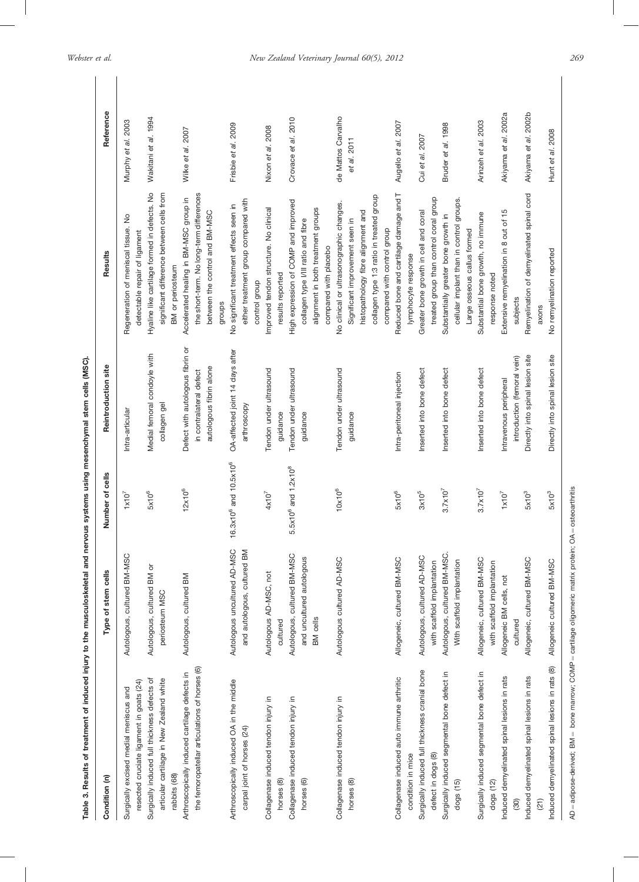| Condition (n)                                                                                            | Type of stem cells                                                   | Number of cells                               | Reintroduction site                                                                    | Results                                                                                                                                                                                      | Reference                                |
|----------------------------------------------------------------------------------------------------------|----------------------------------------------------------------------|-----------------------------------------------|----------------------------------------------------------------------------------------|----------------------------------------------------------------------------------------------------------------------------------------------------------------------------------------------|------------------------------------------|
| resected cruciate ligament in goats (24)<br>Surgically excised medial meniscus and                       | Autologous, cultured BM-MSC                                          | $1 \times 10^7$                               | Intra-articular                                                                        | Regeneration of meniscal tissue. No<br>detectable repair of ligament                                                                                                                         | Murphy et al. 2003                       |
| Surgically induced full thickness defects of<br>articular cartilage in New Zealand white<br>rabbits (68) | Autologous, cultured BM or<br>periosteum MSC                         | $5x10^6$                                      | Medial femoral condoyle with<br>collagen gel                                           | Hyaline like cartilage formed in defects. No<br>significant difference between cells from<br><b>BM</b> or periosteum                                                                         | Wakitani et al. 1994                     |
| the femoropatellar articulations of horses (6)<br>Arthroscopically induced cartilage defects in          | Autologous, cultured BM                                              | $12\times10^{6}$                              | Defect with autologous fibrin or<br>autologous fibrin alone<br>in contralateral defect | the short-term. No long-term differences<br>Accelerated healing in BM-MSC group in<br>between the control and BM-MSC<br>groups                                                               | Wilke et al. 2007                        |
| Arthroscopically induced OA in the middle<br>carpal joint of horses (24)                                 | Autologous uncultured AD-MSC<br>and autologous, cultured BM          | 16.3x10 <sup>6</sup> and 10.5x10 <sup>6</sup> | OA-affected joint 14 days after<br>arthroscopy                                         | either treatment group compared with<br>No significant treatment effects seen in<br>control group                                                                                            | Frisbie et al. 2009                      |
| Collagenase induced tendon injury in<br>horses (8)                                                       | Autologous AD-MSC, not<br>cultured                                   | 4x10 <sup>7</sup>                             | Tendon under ultrasound<br>guidance                                                    | Improved tendon structure. No clinical<br>results reported                                                                                                                                   | Nixon et al. 2008                        |
| Collagenase induced tendon injury in<br>horses (6)                                                       | Autologous, cultured BM-MSC<br>and uncultured autologous<br>BM cells | 5.5x10 <sup>6</sup> and 1.2x10 <sup>8</sup>   | Tendon under ultrasound<br>guidance                                                    | High expression of COMP and improved<br>alignment in both treatment groups<br>collagen type I/III ratio and fibre<br>compared with placebo                                                   | Crovace et al. 2010                      |
| Collagenase induced tendon injury in<br>horses (8)                                                       | Autologous cultured AD-MSC                                           | 10x10 <sup>6</sup>                            | Tendon under ultrasound<br>guidance                                                    | collagen type 1:3 ratio in treated group<br>No clinical or ultrasonographic changes.<br>histopathology fibre alignment and<br>Significant improvement seen in<br>compared with control group | de Mattos Carvalho<br>et al. 2011        |
| Collagenase induced auto immune arthritic<br>condition in mice                                           | Allogeneic, cultured BM-MSC                                          | 5x10 <sup>6</sup>                             | Intra-peritoneal injection                                                             | Reduced bone and cartilage damage and T<br>lymphocyte response                                                                                                                               | Augello et al. 2007                      |
| Surgically induced full thickness cranial bone<br>defect in dogs (8)                                     | Autologous, cultured AD-MSC<br>with scaffold implantation            | $3\times10^5$                                 | Inserted into bone defect                                                              | treated group than control coral group<br>Greater bone growth in cell and coral                                                                                                              | Cui et al. 2007                          |
| Surgically induced segmental bone defect in<br>dogs (15)                                                 | Autologous, cultured BM-MSC.<br>With scaffold implantation           | $3.7\times10^{7}$                             | Inserted into bone defect                                                              | cellular implant than in control groups.<br>Substantially greater bone growth in<br>Large osseous callus formed                                                                              | Bruder et al. 1998                       |
| Surgically induced segmental bone defect in<br>dogs (12)                                                 | Allogeneic, cultured BM-MSC<br>with scaffold implantation            | $3.7\times10^{7}$                             | Inserted into bone defect                                                              | Substantial bone growth, no immune<br>response noted                                                                                                                                         | Arinzeh et al. 2003                      |
| Induced demyelinated spinal lesions in rats<br>$\overline{30}$                                           | Allogeneic BM cells, not<br>cultured                                 | $1 \times 10^7$                               | introduction (femoral vein)<br>Intravenous peripheral                                  | Extensive remyelination in 8 out of 15<br>subjects                                                                                                                                           | Akiyama et al. 2002a                     |
| Induced demyelinated spinal lesions in rats<br>(21)                                                      | Allogeneic, cultured BM-MSC                                          | 5x10 <sup>3</sup><br>5x10 <sup>3</sup>        | Directly into spinal lesion site                                                       | Remyelination of demyelinated spinal cord<br>axons                                                                                                                                           | Akiyama et al. 2002b<br>Hunt et al. 2008 |
| Induced demyelinated spinal lesions in rats (8)                                                          | Allogeneic cultured BM-MSC                                           |                                               | Directly into spinal lesion site                                                       | No remyelination reported                                                                                                                                                                    |                                          |

Table 3. Results of treatment of induced injury to the musculoskeletal and nervous systems using mesenchymal stem cells (MSC). Table 3. Results of treatment of induced injury to the musculoskeletal and nervous systems using mesenchymal stem cells (MSC).

AD ¼ adipose-derived; BM bone marrow; COMP cartilage oligomeric matrix protein; OA osteoarthritis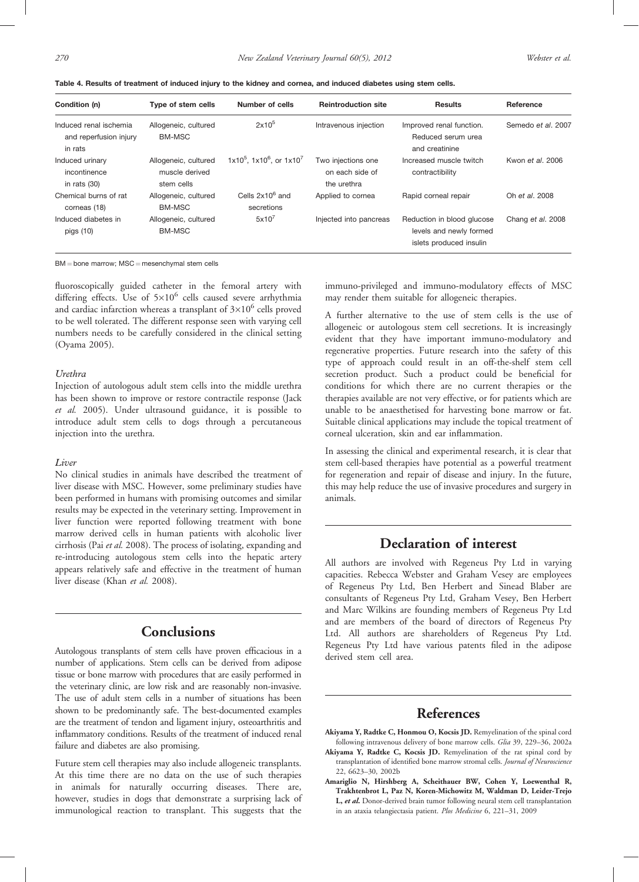| Table 4. Results of treatment of induced injury to the kidney and cornea, and induced diabetes using stem cells. |  |  |  |  |
|------------------------------------------------------------------------------------------------------------------|--|--|--|--|
|------------------------------------------------------------------------------------------------------------------|--|--|--|--|

| Condition (n)                                               | Type of stem cells                                   | Number of cells                   | <b>Reintroduction site</b>                           | <b>Results</b>                                                                   | Reference          |
|-------------------------------------------------------------|------------------------------------------------------|-----------------------------------|------------------------------------------------------|----------------------------------------------------------------------------------|--------------------|
| Induced renal ischemia<br>and reperfusion injury<br>in rats | Allogeneic, cultured<br>BM-MSC                       | $2x10^5$                          | Intravenous injection                                | Improved renal function.<br>Reduced serum urea<br>and creatinine                 | Semedo et al. 2007 |
| Induced urinary<br>incontinence<br>in rats $(30)$           | Allogeneic, cultured<br>muscle derived<br>stem cells | $1x10^5$ . $1x10^6$ . or $1x10^7$ | Two injections one<br>on each side of<br>the urethra | Increased muscle twitch<br>contractibility                                       | Kwon et al. 2006   |
| Chemical burns of rat<br>corneas (18)                       | Allogeneic, cultured<br>BM-MSC                       | Cells $2x10^6$ and<br>secretions  | Applied to cornea                                    | Rapid corneal repair                                                             | Oh et al. 2008     |
| Induced diabetes in<br>pigs $(10)$                          | Allogeneic, cultured<br><b>BM-MSC</b>                | $5x10^7$                          | Injected into pancreas                               | Reduction in blood glucose<br>levels and newly formed<br>islets produced insulin | Chang et al. 2008  |

 $BM = bone$  marrow;  $MSC = mesenchymal$  stem cells

fluoroscopically guided catheter in the femoral artery with differing effects. Use of  $5\times10^6$  cells caused severe arrhythmia and cardiac infarction whereas a transplant of  $3\times10^6$  cells proved to be well tolerated. The different response seen with varying cell numbers needs to be carefully considered in the clinical setting (Oyama 2005).

#### Urethra

Injection of autologous adult stem cells into the middle urethra has been shown to improve or restore contractile response (Jack et al. 2005). Under ultrasound guidance, it is possible to introduce adult stem cells to dogs through a percutaneous injection into the urethra.

#### Liver

No clinical studies in animals have described the treatment of liver disease with MSC. However, some preliminary studies have been performed in humans with promising outcomes and similar results may be expected in the veterinary setting. Improvement in liver function were reported following treatment with bone marrow derived cells in human patients with alcoholic liver cirrhosis (Pai et al. 2008). The process of isolating, expanding and re-introducing autologous stem cells into the hepatic artery appears relatively safe and effective in the treatment of human liver disease (Khan et al. 2008).

# **Conclusions**

Autologous transplants of stem cells have proven efficacious in a number of applications. Stem cells can be derived from adipose tissue or bone marrow with procedures that are easily performed in the veterinary clinic, are low risk and are reasonably non-invasive. The use of adult stem cells in a number of situations has been shown to be predominantly safe. The best-documented examples are the treatment of tendon and ligament injury, osteoarthritis and inflammatory conditions. Results of the treatment of induced renal failure and diabetes are also promising.

Future stem cell therapies may also include allogeneic transplants. At this time there are no data on the use of such therapies in animals for naturally occurring diseases. There are, however, studies in dogs that demonstrate a surprising lack of immunological reaction to transplant. This suggests that the immuno-privileged and immuno-modulatory effects of MSC may render them suitable for allogeneic therapies.

A further alternative to the use of stem cells is the use of allogeneic or autologous stem cell secretions. It is increasingly evident that they have important immuno-modulatory and regenerative properties. Future research into the safety of this type of approach could result in an off-the-shelf stem cell secretion product. Such a product could be beneficial for conditions for which there are no current therapies or the therapies available are not very effective, or for patients which are unable to be anaesthetised for harvesting bone marrow or fat. Suitable clinical applications may include the topical treatment of corneal ulceration, skin and ear inflammation.

In assessing the clinical and experimental research, it is clear that stem cell-based therapies have potential as a powerful treatment for regeneration and repair of disease and injury. In the future, this may help reduce the use of invasive procedures and surgery in animals.

# Declaration of interest

All authors are involved with Regeneus Pty Ltd in varying capacities. Rebecca Webster and Graham Vesey are employees of Regeneus Pty Ltd, Ben Herbert and Sinead Blaber are consultants of Regeneus Pty Ltd, Graham Vesey, Ben Herbert and Marc Wilkins are founding members of Regeneus Pty Ltd and are members of the board of directors of Regeneus Pty Ltd. All authors are shareholders of Regeneus Pty Ltd. Regeneus Pty Ltd have various patents filed in the adipose derived stem cell area.

### References

- Akiyama Y, Radtke C, Honmou O, Kocsis JD. Remyelination of the spinal cord following intravenous delivery of bone marrow cells. Glia 39, 229–36, 2002a
- Akiyama Y, Radtke C, Kocsis JD. Remyelination of the rat spinal cord by transplantation of identified bone marrow stromal cells. Journal of Neuroscience 22, 6623–30, 2002b
- Amariglio N, Hirshberg A, Scheithauer BW, Cohen Y, Loewenthal R, Trakhtenbrot L, Paz N, Koren-Michowitz M, Waldman D, Leider-Trejo L, et al. Donor-derived brain tumor following neural stem cell transplantation in an ataxia telangiectasia patient. Plos Medicine 6, 221–31, 2009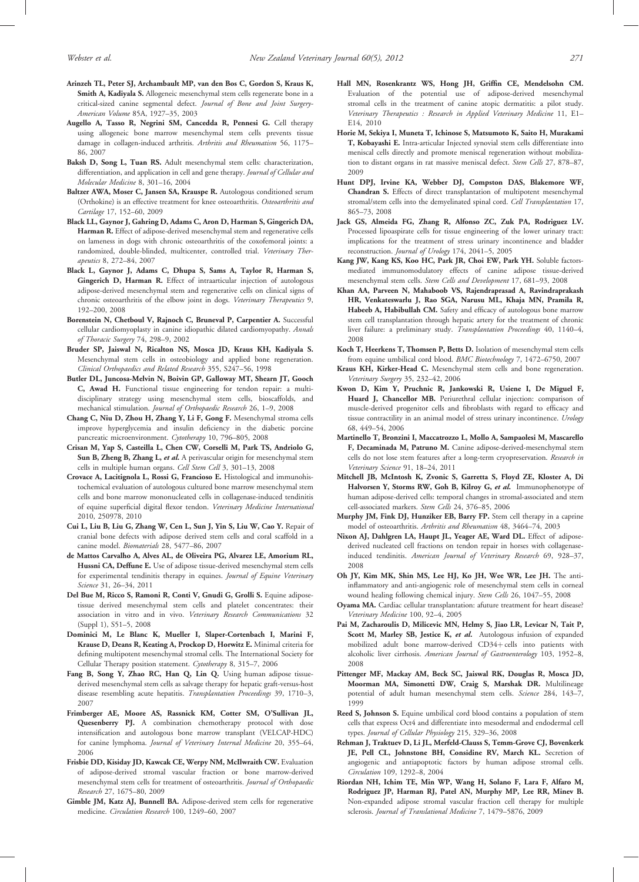- Arinzeh TL, Peter SJ, Archambault MP, van den Bos C, Gordon S, Kraus K, Smith A, Kadiyala S. Allogeneic mesenchymal stem cells regenerate bone in a critical-sized canine segmental defect. Journal of Bone and Joint Surgery-American Volume 85A, 1927–35, 2003
- Augello A, Tasso R, Negrini SM, Cancedda R, Pennesi G. Cell therapy using allogeneic bone marrow mesenchymal stem cells prevents tissue damage in collagen-induced arthritis. Arthritis and Rheumatism 56, 1175– 86, 2007
- Baksh D, Song L, Tuan RS. Adult mesenchymal stem cells: characterization, differentiation, and application in cell and gene therapy. Journal of Cellular and Molecular Medicine 8, 301–16, 2004
- Baltzer AWA, Moser C, Jansen SA, Krauspe R. Autologous conditioned serum (Orthokine) is an effective treatment for knee osteoarthritis. Osteoarthritis and Cartilage 17, 152–60, 2009
- Black LL, Gaynor J, Gahring D, Adams C, Aron D, Harman S, Gingerich DA, Harman R. Effect of adipose-derived mesenchymal stem and regenerative cells on lameness in dogs with chronic osteoarthritis of the coxofemoral joints: a randomized, double-blinded, multicenter, controlled trial. Veterinary Therapeutics 8, 272–84, 2007
- Black L, Gaynor J, Adams C, Dhupa S, Sams A, Taylor R, Harman S, Gingerich D, Harman R. Effect of intraarticular injection of autologous adipose-derived mesenchymal stem and regenerative cells on clinical signs of chronic osteoarthritis of the elbow joint in dogs. Veterimary Therapeutics 9, 192–200, 2008
- Borenstein N, Chetboul V, Rajnoch C, Bruneval P, Carpentier A. Successful cellular cardiomyoplasty in canine idiopathic dilated cardiomyopathy. Annals of Thoracic Surgery 74, 298–9, 2002
- Bruder SP, Jaiswal N, Ricalton NS, Mosca JD, Kraus KH, Kadiyala S. Mesenchymal stem cells in osteobiology and applied bone regeneration. Clinical Orthopaedics and Related Research 355, S247–56, 1998
- Butler DL, Juncosa-Melvin N, Boivin GP, Galloway MT, Shearn JT, Gooch C, Awad H. Functional tissue engineering for tendon repair: a multidisciplinary strategy using mesenchymal stem cells, bioscaffolds, and mechanical stimulation. Journal of Orthopaedic Research 26, 1–9, 2008
- Chang C, Niu D, Zhou H, Zhang Y, Li F, Gong F. Mesenchymal stroma cells improve hyperglycemia and insulin deficiency in the diabetic porcine pancreatic microenvironment. Cytotherapy 10, 796–805, 2008
- Crisan M, Yap S, Casteilla L, Chen CW, Corselli M, Park TS, Andriolo G, Sun B, Zheng B, Zhang L, et al. A perivascular origin for mesenchymal stem cells in multiple human organs. Cell Stem Cell 3, 301–13, 2008
- Crovace A, Lacitignola L, Rossi G, Francioso E. Histological and immunohistochemical evaluation of autologous cultured bone marrow mesenchymal stem cells and bone marrow mononucleated cells in collagenase-induced tendinitis of equine superficial digital flexor tendon. Veterinary Medicine International 2010, 250978, 2010
- Cui L, Liu B, Liu G, Zhang W, Cen L, Sun J, Yin S, Liu W, Cao Y. Repair of cranial bone defects with adipose derived stem cells and coral scaffold in a canine model. Biomaterials 28, 5477–86, 2007
- de Mattos Carvalho A, Alves AL, de Oliveira PG, Alvarez LE, Amorium RL, Hussni CA, Deffune E. Use of adipose tissue-derived mesenchymal stem cells for experimental tendinitis therapy in equines. Journal of Equine Veterinary Science 31, 26–34, 2011
- Del Bue M, Ricco S, Ramoni R, Conti V, Gnudi G, Grolli S. Equine adiposetissue derived mesenchymal stem cells and platelet concentrates: their association in vitro and in vivo. Veterinary Research Communications 32 (Suppl 1), S51–5, 2008
- Dominici M, Le Blanc K, Mueller I, Slaper-Cortenbach I, Marini F, Krause D, Deans R, Keating A, Prockop D, Horwitz E. Minimal criteria for defining multipotent mesenchymal stromal cells. The International Society for Cellular Therapy position statement. Cytotherapy 8, 315–7, 2006
- Fang B, Song Y, Zhao RC, Han Q, Lin Q. Using human adipose tissuederived mesenchymal stem cells as salvage therapy for hepatic graft-versus-host disease resembling acute hepatitis. Transplantation Proceedings 39, 1710-3, 2007
- Frimberger AE, Moore AS, Rassnick KM, Cotter SM, O'Sullivan JL, Quesenberry PJ. A combination chemotherapy protocol with dose intensification and autologous bone marrow transplant (VELCAP-HDC) for canine lymphoma. Journal of Veterinary Internal Medicine 20, 355–64, 2006
- Frisbie DD, Kisiday JD, Kawcak CE, Werpy NM, McIlwraith CW. Evaluation of adipose-derived stromal vascular fraction or bone marrow-derived mesenchymal stem cells for treatment of osteoarthritis. Journal of Orthopaedic Research 27, 1675–80, 2009
- Gimble JM, Katz AJ, Bunnell BA. Adipose-derived stem cells for regenerative medicine. Circulation Research 100, 1249–60, 2007
- Hall MN, Rosenkrantz WS, Hong JH, Griffin CE, Mendelsohn CM. Evaluation of the potential use of adipose-derived mesenchymal stromal cells in the treatment of canine atopic dermatitis: a pilot study. Veterinary Therapeutics : Research in Applied Veterinary Medicine 11, E1– E14, 2010
- Horie M, Sekiya I, Muneta T, Ichinose S, Matsumoto K, Saito H, Murakami T, Kobayashi E. Intra-articular Injected synovial stem cells differentiate into meniscal cells directly and promote meniscal regeneration without mobilization to distant organs in rat massive meniscal defect. Stem Cells 27, 878–87, 2009
- Hunt DPJ, Irvine KA, Webber DJ, Compston DAS, Blakemore WF, Chandran S. Effects of direct transplantation of multipotent mesenchymal stromal/stem cells into the demyelinated spinal cord. Cell Transplantation 17, 865–73, 2008
- Jack GS, Almeida FG, Zhang R, Alfonso ZC, Zuk PA, Rodriguez LV. Processed lipoaspirate cells for tissue engineering of the lower urinary tract: implications for the treatment of stress urinary incontinence and bladder reconstruction. Journal of Urology 174, 2041–5, 2005
- Kang JW, Kang KS, Koo HC, Park JR, Choi EW, Park YH. Soluble factorsmediated immunomodulatory effects of canine adipose tissue-derived mesenchymal stem cells. Stem Cells and Development 17, 681–93, 2008
- Khan AA, Parveen N, Mahaboob VS, Rajendraprasad A, Ravindraprakash HR, Venkateswarlu J, Rao SGA, Narusu ML, Khaja MN, Pramila R, Habeeb A, Habibullah CM. Safety and efficacy of autologous bone marrow stem cell transplantation through hepatic artery for the treatment of chronic liver failure: a preliminary study. Transplantation Proceedings 40, 1140–4, 2008
- Koch T, Heerkens T, Thomsen P, Betts D. Isolation of mesenchymal stem cells from equine umbilical cord blood. BMC Biotechnology 7, 1472–6750, 2007
- Kraus KH, Kirker-Head C. Mesenchymal stem cells and bone regeneration. Veterinary Surgery 35, 232–42, 2006
- Kwon D, Kim Y, Pruchnic R, Jankowski R, Usiene I, De Miguel F, Huard J, Chancellor MB. Periurethral cellular injection: comparison of muscle-derived progenitor cells and fibroblasts with regard to efficacy and tissue contractility in an animal model of stress urinary incontinence. Urology 68, 449–54, 2006
- Martinello T, Bronzini I, Maccatrozzo L, Mollo A, Sampaolesi M, Mascarello F, Decaminada M, Patruno M. Canine adipose-derived-mesenchymal stem cells do not lose stem features after a long-term cryopreservation. Research in Veterinary Science 91, 18–24, 2011
- Mitchell JB, McIntosh K, Zvonic S, Garretta S, Floyd ZE, Kloster A, Di Halvorsen Y, Storms RW, Goh B, Kilroy G, et al. Immunophenotype of human adipose-derived cells: temporal changes in stromal-associated and stem cell-associated markers. Stem Cells 24, 376–85, 2006
- Murphy JM, Fink DJ, Hunziker EB, Barry FP. Stem cell therapy in a caprine model of osteoarthritis. Arthritis and Rheumatism 48, 3464–74, 2003
- Nixon AJ, Dahlgren LA, Haupt JL, Yeager AE, Ward DL. Effect of adiposederived nucleated cell fractions on tendon repair in horses with collagenaseinduced tendinitis. American Journal of Veterinary Research 69, 928–37, 2008
- Oh JY, Kim MK, Shin MS, Lee HJ, Ko JH, Wee WR, Lee JH. The antiinflammatory and anti-angiogenic role of mesenchymal stem cells in corneal wound healing following chemical injury. Stem Cells 26, 1047-55, 2008
- Oyama MA. Cardiac cellular transplantation: afuture treatment for heart disease? Veterinary Medicine 100, 92–4, 2005
- Pai M, Zacharoulis D, Milicevic MN, Helmy S, Jiao LR, Levicar N, Tait P, Scott M, Marley SB, Jestice K, et al. Autologous infusion of expanded mobilized adult bone marrow-derived CD34+ cells into patients with alcoholic liver cirrhosis. American Journal of Gastroenterology 103, 1952–8, 2008
- Pittenger MF, Mackay AM, Beck SC, Jaiswal RK, Douglas R, Mosca JD, Moorman MA, Simonetti DW, Craig S, Marshak DR. Multilineage potential of adult human mesenchymal stem cells. Science 284, 143-7, 1999
- Reed S, Johnson S. Equine umbilical cord blood contains a population of stem cells that express Oct4 and differentiate into mesodermal and endodermal cell types. Journal of Cellular Physiology 215, 329–36, 2008
- Rehman J, Traktuev D, Li JL, Merfeld-Clauss S, Temm-Grove CJ, Bovenkerk JE, Pell CL, Johnstone BH, Considine RV, March KL. Secretion of angiogenic and antiapoptotic factors by human adipose stromal cells. Circulation 109, 1292–8, 2004
- Riordan NH, Ichim TE, Min WP, Wang H, Solano F, Lara F, Alfaro M, Rodriguez JP, Harman RJ, Patel AN, Murphy MP, Lee RR, Minev B. Non-expanded adipose stromal vascular fraction cell therapy for multiple sclerosis. Journal of Translational Medicine 7, 1479–5876, 2009